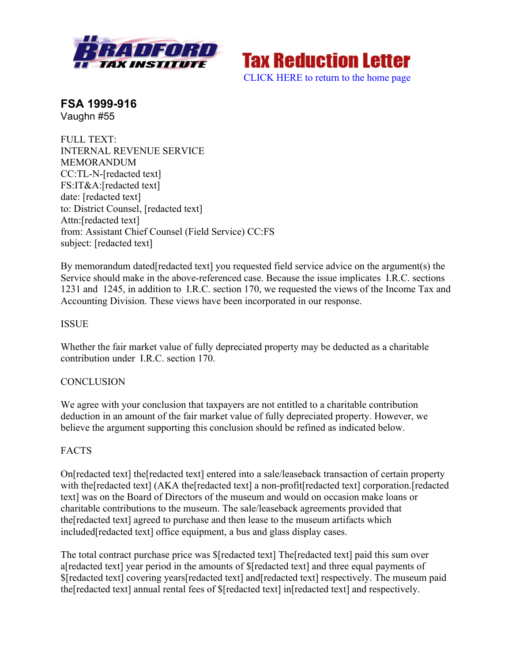

**Tax Reduction Letter** [CLICK HERE to return to the home page](www.bradfordtaxinstitute.com)

**FSA 1999-916** Vaughn #55

FULL TEXT: INTERNAL REVENUE SERVICE MEMORANDUM CC:TL-N-[redacted text] FS:IT&A:[redacted text] date: [redacted text] to: District Counsel, [redacted text] Attn:[redacted text] from: Assistant Chief Counsel (Field Service) CC:FS subject: [redacted text]

By memorandum dated[redacted text] you requested field service advice on the argument(s) the Service should make in the above-referenced case. Because the issue implicates I.R.C. sections 1231 and 1245, in addition to I.R.C. section 170, we requested the views of the Income Tax and Accounting Division. These views have been incorporated in our response.

## **ISSUE**

Whether the fair market value of fully depreciated property may be deducted as a charitable contribution under I.R.C. section 170.

## **CONCLUSION**

We agree with your conclusion that taxpayers are not entitled to a charitable contribution deduction in an amount of the fair market value of fully depreciated property. However, we believe the argument supporting this conclusion should be refined as indicated below.

## **FACTS**

On[redacted text] the[redacted text] entered into a sale/leaseback transaction of certain property with the [redacted text] (AKA the [redacted text] a non-profit [redacted text] corporation. [redacted] text] was on the Board of Directors of the museum and would on occasion make loans or charitable contributions to the museum. The sale/leaseback agreements provided that the[redacted text] agreed to purchase and then lease to the museum artifacts which included[redacted text] office equipment, a bus and glass display cases.

The total contract purchase price was \$[redacted text] The[redacted text] paid this sum over a[redacted text] year period in the amounts of \$[redacted text] and three equal payments of \$[redacted text] covering years[redacted text] and[redacted text] respectively. The museum paid the[redacted text] annual rental fees of \$[redacted text] in[redacted text] and respectively.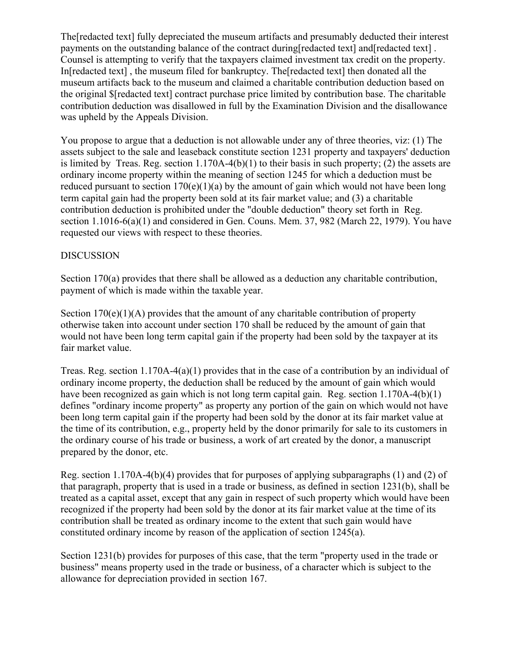The[redacted text] fully depreciated the museum artifacts and presumably deducted their interest payments on the outstanding balance of the contract during[redacted text] and[redacted text] . Counsel is attempting to verify that the taxpayers claimed investment tax credit on the property. In[redacted text] , the museum filed for bankruptcy. The[redacted text] then donated all the museum artifacts back to the museum and claimed a charitable contribution deduction based on the original \$[redacted text] contract purchase price limited by contribution base. The charitable contribution deduction was disallowed in full by the Examination Division and the disallowance was upheld by the Appeals Division.

You propose to argue that a deduction is not allowable under any of three theories, viz: (1) The assets subject to the sale and leaseback constitute section 1231 property and taxpayers' deduction is limited by Treas. Reg. section 1.170A-4(b)(1) to their basis in such property; (2) the assets are ordinary income property within the meaning of section 1245 for which a deduction must be reduced pursuant to section  $170(e)(1)(a)$  by the amount of gain which would not have been long term capital gain had the property been sold at its fair market value; and (3) a charitable contribution deduction is prohibited under the "double deduction" theory set forth in Reg. section 1.1016-6(a)(1) and considered in Gen. Couns. Mem. 37, 982 (March 22, 1979). You have requested our views with respect to these theories.

## DISCUSSION

Section 170(a) provides that there shall be allowed as a deduction any charitable contribution, payment of which is made within the taxable year.

Section  $170(e)(1)(A)$  provides that the amount of any charitable contribution of property otherwise taken into account under section 170 shall be reduced by the amount of gain that would not have been long term capital gain if the property had been sold by the taxpayer at its fair market value.

Treas. Reg. section 1.170A-4(a)(1) provides that in the case of a contribution by an individual of ordinary income property, the deduction shall be reduced by the amount of gain which would have been recognized as gain which is not long term capital gain. Reg. section 1.170A-4(b)(1) defines "ordinary income property" as property any portion of the gain on which would not have been long term capital gain if the property had been sold by the donor at its fair market value at the time of its contribution, e.g., property held by the donor primarily for sale to its customers in the ordinary course of his trade or business, a work of art created by the donor, a manuscript prepared by the donor, etc.

Reg. section 1.170A-4(b)(4) provides that for purposes of applying subparagraphs (1) and (2) of that paragraph, property that is used in a trade or business, as defined in section 1231(b), shall be treated as a capital asset, except that any gain in respect of such property which would have been recognized if the property had been sold by the donor at its fair market value at the time of its contribution shall be treated as ordinary income to the extent that such gain would have constituted ordinary income by reason of the application of section 1245(a).

Section 1231(b) provides for purposes of this case, that the term "property used in the trade or business" means property used in the trade or business, of a character which is subject to the allowance for depreciation provided in section 167.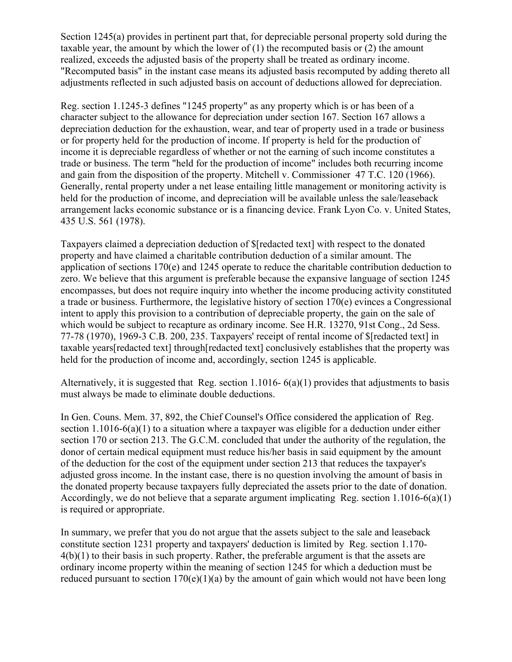Section 1245(a) provides in pertinent part that, for depreciable personal property sold during the taxable year, the amount by which the lower of  $(1)$  the recomputed basis or  $(2)$  the amount realized, exceeds the adjusted basis of the property shall be treated as ordinary income. "Recomputed basis" in the instant case means its adjusted basis recomputed by adding thereto all adjustments reflected in such adjusted basis on account of deductions allowed for depreciation.

Reg. section 1.1245-3 defines "1245 property" as any property which is or has been of a character subject to the allowance for depreciation under section 167. Section 167 allows a depreciation deduction for the exhaustion, wear, and tear of property used in a trade or business or for property held for the production of income. If property is held for the production of income it is depreciable regardless of whether or not the earning of such income constitutes a trade or business. The term "held for the production of income" includes both recurring income and gain from the disposition of the property. Mitchell v. Commissioner 47 T.C. 120 (1966). Generally, rental property under a net lease entailing little management or monitoring activity is held for the production of income, and depreciation will be available unless the sale/leaseback arrangement lacks economic substance or is a financing device. Frank Lyon Co. v. United States, 435 U.S. 561 (1978).

Taxpayers claimed a depreciation deduction of \$[redacted text] with respect to the donated property and have claimed a charitable contribution deduction of a similar amount. The application of sections 170(e) and 1245 operate to reduce the charitable contribution deduction to zero. We believe that this argument is preferable because the expansive language of section 1245 encompasses, but does not require inquiry into whether the income producing activity constituted a trade or business. Furthermore, the legislative history of section 170(e) evinces a Congressional intent to apply this provision to a contribution of depreciable property, the gain on the sale of which would be subject to recapture as ordinary income. See H.R. 13270, 91st Cong., 2d Sess. 77-78 (1970), 1969-3 C.B. 200, 235. Taxpayers' receipt of rental income of \$[redacted text] in taxable years[redacted text] through[redacted text] conclusively establishes that the property was held for the production of income and, accordingly, section 1245 is applicable.

Alternatively, it is suggested that Reg. section 1.1016- 6(a)(1) provides that adjustments to basis must always be made to eliminate double deductions.

In Gen. Couns. Mem. 37, 892, the Chief Counsel's Office considered the application of Reg. section 1.1016-6(a)(1) to a situation where a taxpayer was eligible for a deduction under either section 170 or section 213. The G.C.M. concluded that under the authority of the regulation, the donor of certain medical equipment must reduce his/her basis in said equipment by the amount of the deduction for the cost of the equipment under section 213 that reduces the taxpayer's adjusted gross income. In the instant case, there is no question involving the amount of basis in the donated property because taxpayers fully depreciated the assets prior to the date of donation. Accordingly, we do not believe that a separate argument implicating Reg. section  $1.1016-6(a)(1)$ is required or appropriate.

In summary, we prefer that you do not argue that the assets subject to the sale and leaseback constitute section 1231 property and taxpayers' deduction is limited by Reg. section 1.170- 4(b)(1) to their basis in such property. Rather, the preferable argument is that the assets are ordinary income property within the meaning of section 1245 for which a deduction must be reduced pursuant to section  $170(e)(1)(a)$  by the amount of gain which would not have been long